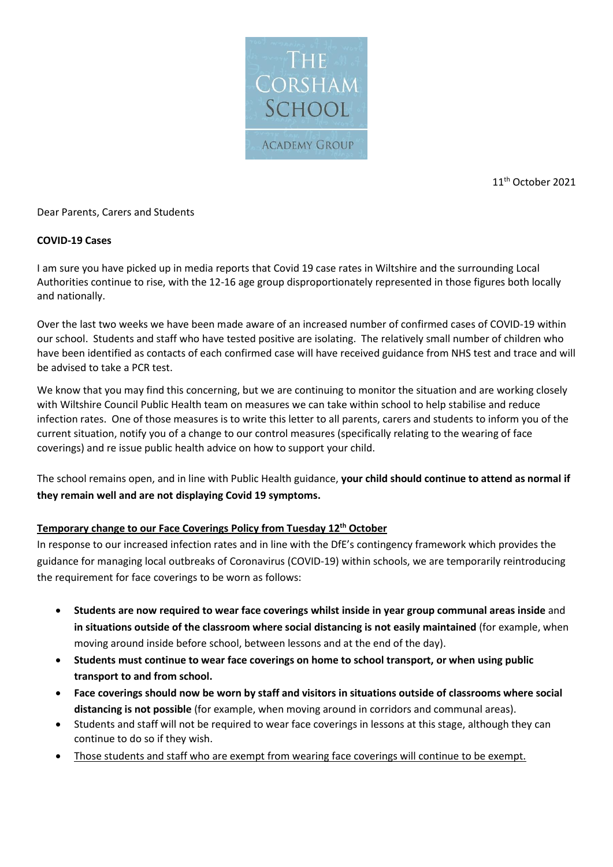

11<sup>th</sup> October 2021

### Dear Parents, Carers and Students

### **COVID-19 Cases**

I am sure you have picked up in media reports that Covid 19 case rates in Wiltshire and the surrounding Local Authorities continue to rise, with the 12-16 age group disproportionately represented in those figures both locally and nationally.

Over the last two weeks we have been made aware of an increased number of confirmed cases of COVID-19 within our school. Students and staff who have tested positive are isolating. The relatively small number of children who have been identified as contacts of each confirmed case will have received guidance from NHS test and trace and will be advised to take a PCR test.

We know that you may find this concerning, but we are continuing to monitor the situation and are working closely with Wiltshire Council Public Health team on measures we can take within school to help stabilise and reduce infection rates. One of those measures is to write this letter to all parents, carers and students to inform you of the current situation, notify you of a change to our control measures (specifically relating to the wearing of face coverings) and re issue public health advice on how to support your child.

The school remains open, and in line with Public Health guidance, **your child should continue to attend as normal if they remain well and are not displaying Covid 19 symptoms.** 

### **Temporary change to our Face Coverings Policy from Tuesday 12th October**

In response to our increased infection rates and in line with the DfE's contingency framework which provides the guidance for managing local outbreaks of Coronavirus (COVID-19) within schools, we are temporarily reintroducing the requirement for face coverings to be worn as follows:

- **Students are now required to wear face coverings whilst inside in year group communal areas inside** and **in situations outside of the classroom where social distancing is not easily maintained** (for example, when moving around inside before school, between lessons and at the end of the day).
- **Students must continue to wear face coverings on home to school transport, or when using public transport to and from school.**
- **Face coverings should now be worn by staff and visitors in situations outside of classrooms where social distancing is not possible** (for example, when moving around in corridors and communal areas).
- Students and staff will not be required to wear face coverings in lessons at this stage, although they can continue to do so if they wish.
- Those students and staff who are exempt from wearing face coverings will continue to be exempt.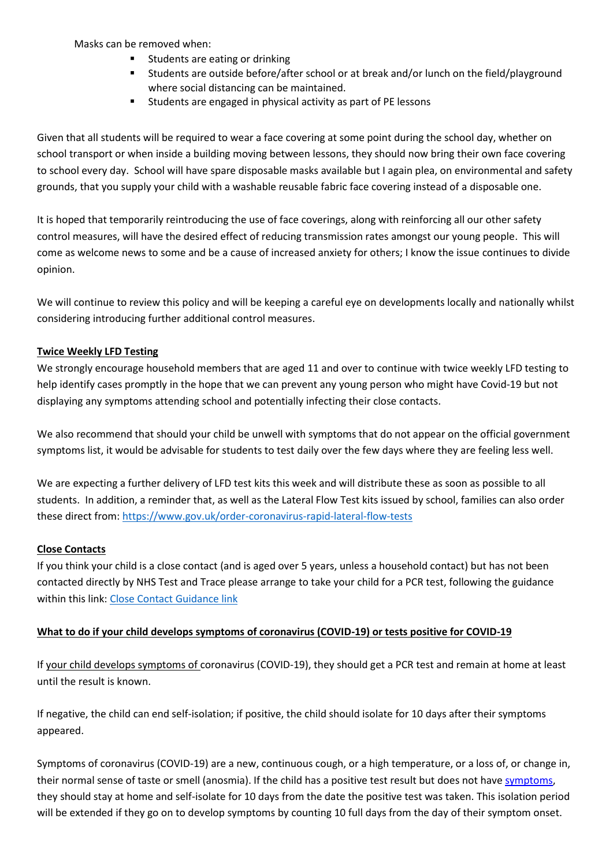Masks can be removed when:

- Students are eating or drinking
- Students are outside before/after school or at break and/or lunch on the field/playground where social distancing can be maintained.
- Students are engaged in physical activity as part of PE lessons

Given that all students will be required to wear a face covering at some point during the school day, whether on school transport or when inside a building moving between lessons, they should now bring their own face covering to school every day. School will have spare disposable masks available but I again plea, on environmental and safety grounds, that you supply your child with a washable reusable fabric face covering instead of a disposable one.

It is hoped that temporarily reintroducing the use of face coverings, along with reinforcing all our other safety control measures, will have the desired effect of reducing transmission rates amongst our young people. This will come as welcome news to some and be a cause of increased anxiety for others; I know the issue continues to divide opinion.

We will continue to review this policy and will be keeping a careful eye on developments locally and nationally whilst considering introducing further additional control measures.

## **Twice Weekly LFD Testing**

We strongly encourage household members that are aged 11 and over to continue with twice weekly LFD testing to help identify cases promptly in the hope that we can prevent any young person who might have Covid-19 but not displaying any symptoms attending school and potentially infecting their close contacts.

We also recommend that should your child be unwell with symptoms that do not appear on the official government symptoms list, it would be advisable for students to test daily over the few days where they are feeling less well.

We are expecting a further delivery of LFD test kits this week and will distribute these as soon as possible to all students. In addition, a reminder that, as well as the Lateral Flow Test kits issued by school, families can also order these direct from:<https://www.gov.uk/order-coronavirus-rapid-lateral-flow-tests>

### **Close Contacts**

If you think your child is a close contact (and is aged over 5 years, unless a household contact) but has not been contacted directly by NHS Test and Trace please arrange to take your child for a PCR test, following the guidance within this link: [Close Contact Guidance link](https://www.gov.uk/government/publications/guidance-for-contacts-of-people-with-possible-or-confirmed-coronavirus-covid-19-infection-who-do-not-live-with-the-person/guidance-for-contacts-of-people-with-possible-or-confirmed-coronavirus-covid-19-infection-who-do-not-live-with-the-person#i-think-i-have-had-contact-with-someone-who-has-tested-positive-for-covid-19-but-i-have-not-been-notified-and-advised-to-self-isolate-what-should-i-do)

### **What to do if your child develops symptoms of coronavirus (COVID-19) or tests positive for COVID-19**

If your child develops symptoms of coronavirus (COVID-19), they should get a PCR test and remain at home at least until the result is known.

If negative, the child can end self-isolation; if positive, the child should isolate for 10 days after their symptoms appeared.

Symptoms of coronavirus (COVID-19) are a new, continuous cough, or a high temperature, or a loss of, or change in, their normal sense of taste or smell (anosmia). If the child has a positive test result but does not have [symptoms,](https://www.gov.uk/government/publications/covid-19-stay-at-home-guidance/stay-at-home-guidance-for-households-with-possible-coronavirus-covid-19-infection#symptoms) they should stay at home and self-isolate for 10 days from the date the positive test was taken. This isolation period will be extended if they go on to develop symptoms by counting 10 full days from the day of their symptom onset.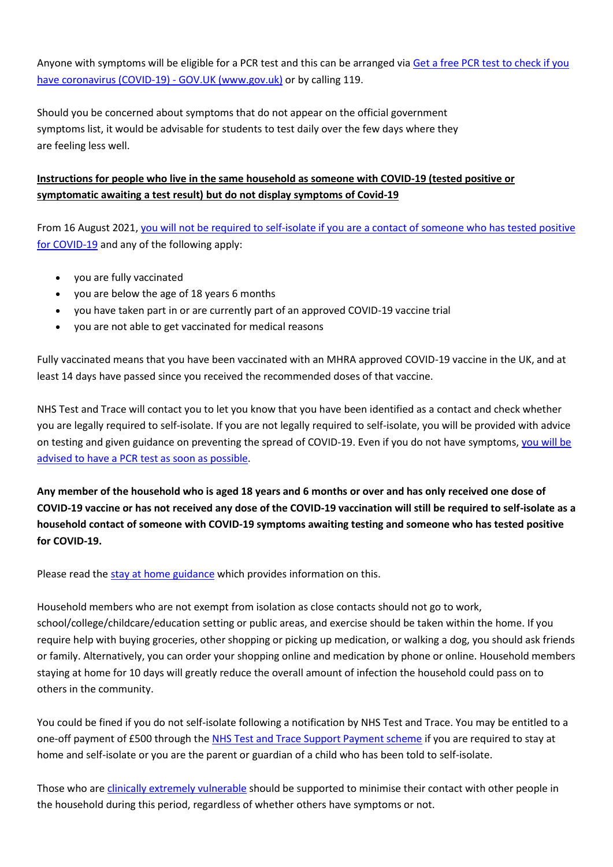Anyone with symptoms will be eligible for a PCR test and this can be arranged via [Get a free PCR test to check if you](https://www.gov.uk/get-coronavirus-test)  [have coronavirus \(COVID-19\) -](https://www.gov.uk/get-coronavirus-test) GOV.UK (www.gov.uk) or by calling 119.

Should you be concerned about symptoms that do not appear on the official government symptoms list, it would be advisable for students to test daily over the few days where they are feeling less well.

# **Instructions for people who live in the same household as someone with COVID-19 (tested positive or symptomatic awaiting a test result) but do not display symptoms of Covid-19**

From 16 August 2021[, you will not be required to self-isolate if you are a contact of someone who has tested positive](https://www.gov.uk/government/publications/covid-19-stay-at-home-guidance/stay-at-home-guidance-for-households-with-possible-coronavirus-covid-19-infection#exempt)  [for COVID-19](https://www.gov.uk/government/publications/covid-19-stay-at-home-guidance/stay-at-home-guidance-for-households-with-possible-coronavirus-covid-19-infection#exempt) and any of the following apply:

- you are fully vaccinated
- you are below the age of 18 years 6 months
- you have taken part in or are currently part of an approved COVID-19 vaccine trial
- you are not able to get vaccinated for medical reasons

Fully vaccinated means that you have been vaccinated with an MHRA approved COVID-19 vaccine in the UK, and at least 14 days have passed since you received the recommended doses of that vaccine.

NHS Test and Trace will contact you to let you know that you have been identified as a contact and check whether you are legally required to self-isolate. If you are not legally required to self-isolate, you will be provided with advice on testing and given guidance on preventing the spread of COVID-19. Even if you do not have symptoms, [you will be](https://www.gov.uk/government/publications/covid-19-stay-at-home-guidance/stay-at-home-guidance-for-households-with-possible-coronavirus-covid-19-infection#PCR)  advised to have a PCR [test as soon as possible.](https://www.gov.uk/government/publications/covid-19-stay-at-home-guidance/stay-at-home-guidance-for-households-with-possible-coronavirus-covid-19-infection#PCR)

**Any member of the household who is aged 18 years and 6 months or over and has only received one dose of COVID-19 vaccine or has not received any dose of the COVID-19 vaccination will still be required to self-isolate as a household contact of someone with COVID-19 symptoms awaiting testing and someone who has tested positive for COVID-19.**

Please read th[e stay at home guidance](https://www.gov.uk/government/publications/covid-19-stay-at-home-guidance) which provides information on this.

Household members who are not exempt from isolation as close contacts should not go to work, school/college/childcare/education setting or public areas, and exercise should be taken within the home. If you require help with buying groceries, other shopping or picking up medication, or walking a dog, you should ask friends or family. Alternatively, you can order your shopping online and medication by phone or online. Household members staying at home for 10 days will greatly reduce the overall amount of infection the household could pass on to others in the community.

You could be fined if you do not self-isolate following a notification by NHS Test and Trace. You may be entitled to a one-off payment of £500 through the [NHS Test and Trace Support Payment scheme](https://www.gov.uk/government/publications/test-and-trace-support-payment-scheme-claiming-financial-support/claiming-financial-support-under-the-test-and-trace-support-payment-scheme) if you are required to stay at home and self-isolate or you are the parent or guardian of a child who has been told to self-isolate.

Those who are [clinically extremely vulnerable](https://www.gov.uk/government/publications/guidance-on-shielding-and-protecting-extremely-vulnerable-persons-from-covid-19/guidance-on-shielding-and-protecting-extremely-vulnerable-persons-from-covid-19) should be supported to minimise their contact with other people in the household during this period, regardless of whether others have symptoms or not.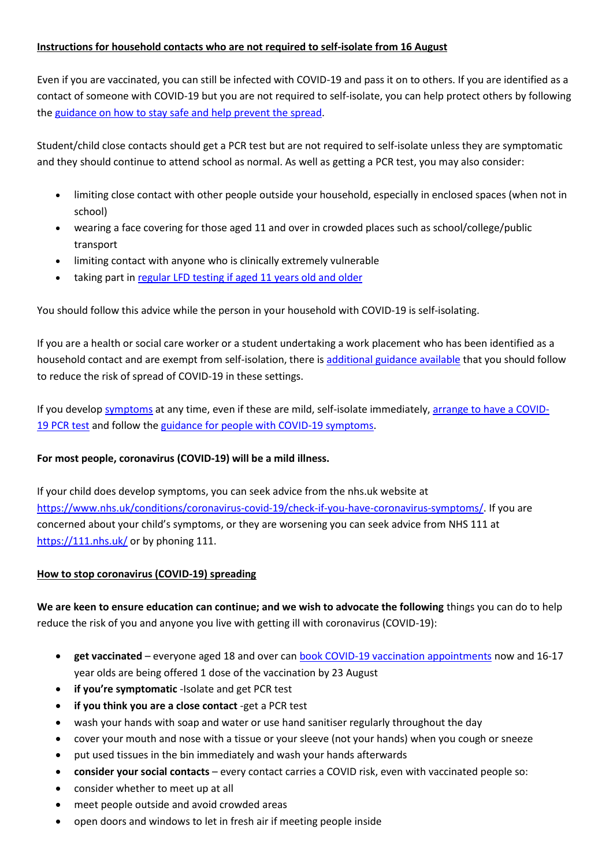### **Instructions for household contacts who are not required to self-isolate from 16 August**

Even if you are vaccinated, you can still be infected with COVID-19 and pass it on to others. If you are identified as a contact of someone with COVID-19 but you are not required to self-isolate, you can help protect others by following the [guidance on how to stay safe and help prevent the spread.](https://www.gov.uk/guidance/covid-19-coronavirus-restrictions-what-you-can-and-cannot-do#keeping-yourself-and-others-safe)

Student/child close contacts should get a PCR test but are not required to self-isolate unless they are symptomatic and they should continue to attend school as normal. As well as getting a PCR test, you may also consider:

- limiting close contact with other people outside your household, especially in enclosed spaces (when not in school)
- wearing a face covering for those aged 11 and over in crowded places such as school/college/public transport
- limiting contact with anyone who is clinically extremely vulnerable
- taking part in [regular](https://www.gov.uk/order-coronavirus-rapid-lateral-flow-tests) LFD testing if aged 11 years old and older

You should follow this advice while the person in your household with COVID-19 is self-isolating.

If you are a health or social care worker or a student undertaking a work placement who has been identified as a household contact and are exempt from self-isolation, there is [additional guidance available](https://www.gov.uk/government/publications/covid-19-management-of-exposed-healthcare-workers-and-patients-in-hospital-settings/covid-19-management-of-exposed-healthcare-workers-and-patients-in-hospital-settings) that you should follow to reduce the risk of spread of COVID-19 in these settings.

If you develop [symptoms](https://www.gov.uk/government/publications/covid-19-stay-at-home-guidance/stay-at-home-guidance-for-households-with-possible-coronavirus-covid-19-infection#symptoms) at any time, even if these are mild, self-isolate immediately, [arrange to have a COVID-](https://www.gov.uk/get-coronavirus-test)19 [PCR](https://www.gov.uk/get-coronavirus-test) test and follow the [guidance for people with COVID-19 symptoms.](https://www.gov.uk/government/publications/covid-19-stay-at-home-guidance/stay-at-home-guidance-for-households-with-possible-coronavirus-covid-19-infection#SymptomsPositiveTest)

# **For most people, coronavirus (COVID-19) will be a mild illness.**

If your child does develop symptoms, you can seek advice from the nhs.uk website at [https://www.nhs.uk/conditions/coronavirus-covid-19/check-if-you-have-coronavirus-symptoms/.](https://www.nhs.uk/conditions/coronavirus-covid-19/check-if-you-have-coronavirus-symptoms/) If you are concerned about your child's symptoms, or they are worsening you can seek advice from NHS 111 at <https://111.nhs.uk/> or by phoning 111.

### **How to stop coronavirus (COVID-19) spreading**

**We are keen to ensure education can continue; and we wish to advocate the following** things you can do to help reduce the risk of you and anyone you live with getting ill with coronavirus (COVID-19):

- **get vaccinated** everyone aged 18 and over can [book COVID-19 vaccination appointments](https://www.nhs.uk/conditions/coronavirus-covid-19/coronavirus-vaccination/book-coronavirus-vaccination/) now and 16-17 year olds are being offered 1 dose of the vaccination by 23 August
- **if you're symptomatic** -Isolate and get PCR test
- **if you think you are a close contact** -get a PCR test
- wash your hands with soap and water or use hand sanitiser regularly throughout the day
- cover your mouth and nose with a tissue or your sleeve (not your hands) when you cough or sneeze
- put used tissues in the bin immediately and wash your hands afterwards
- **consider your social contacts** every contact carries a COVID risk, even with vaccinated people so:
- consider whether to meet up at all
- meet people outside and avoid crowded areas
- open doors and windows to let in fresh air if meeting people inside